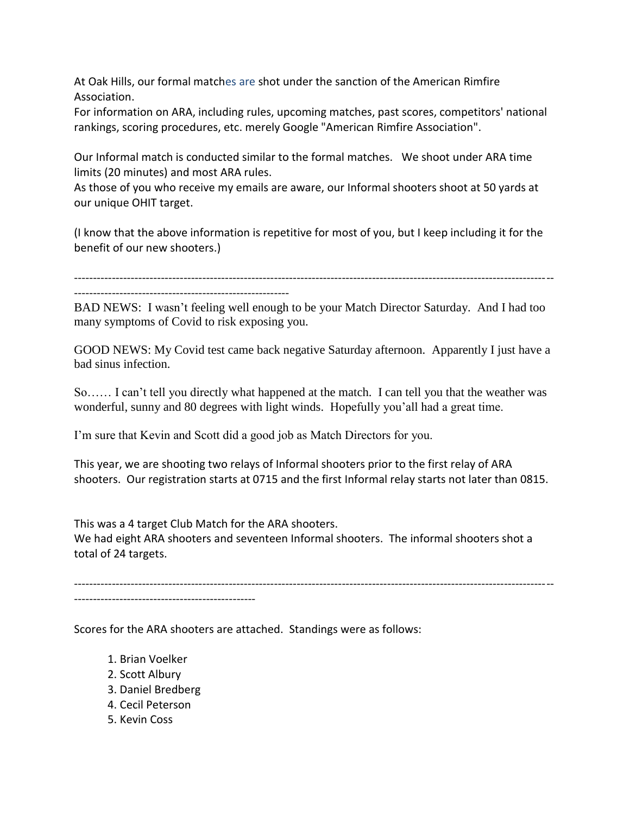At Oak Hills, our formal matches are shot under the sanction of the American Rimfire Association.

For information on ARA, including rules, upcoming matches, past scores, competitors' national rankings, scoring procedures, etc. merely Google "American Rimfire Association".

Our Informal match is conducted similar to the formal matches. We shoot under ARA time limits (20 minutes) and most ARA rules.

As those of you who receive my emails are aware, our Informal shooters shoot at 50 yards at our unique OHIT target.

(I know that the above information is repetitive for most of you, but I keep including it for the benefit of our new shooters.)

-------------------------------------------------------------------------------------------------------------------------------

---------------------------------------------------------

BAD NEWS: I wasn't feeling well enough to be your Match Director Saturday. And I had too many symptoms of Covid to risk exposing you.

GOOD NEWS: My Covid test came back negative Saturday afternoon. Apparently I just have a bad sinus infection.

So…… I can't tell you directly what happened at the match. I can tell you that the weather was wonderful, sunny and 80 degrees with light winds. Hopefully you'all had a great time.

I'm sure that Kevin and Scott did a good job as Match Directors for you.

This year, we are shooting two relays of Informal shooters prior to the first relay of ARA shooters. Our registration starts at 0715 and the first Informal relay starts not later than 0815.

This was a 4 target Club Match for the ARA shooters. We had eight ARA shooters and seventeen Informal shooters. The informal shooters shot a total of 24 targets.

-------------------------------------------------------------------------------------------------------------------------------  $-$ 

Scores for the ARA shooters are attached. Standings were as follows:

- 1. Brian Voelker
- 2. Scott Albury
- 3. Daniel Bredberg
- 4. Cecil Peterson
- 5. Kevin Coss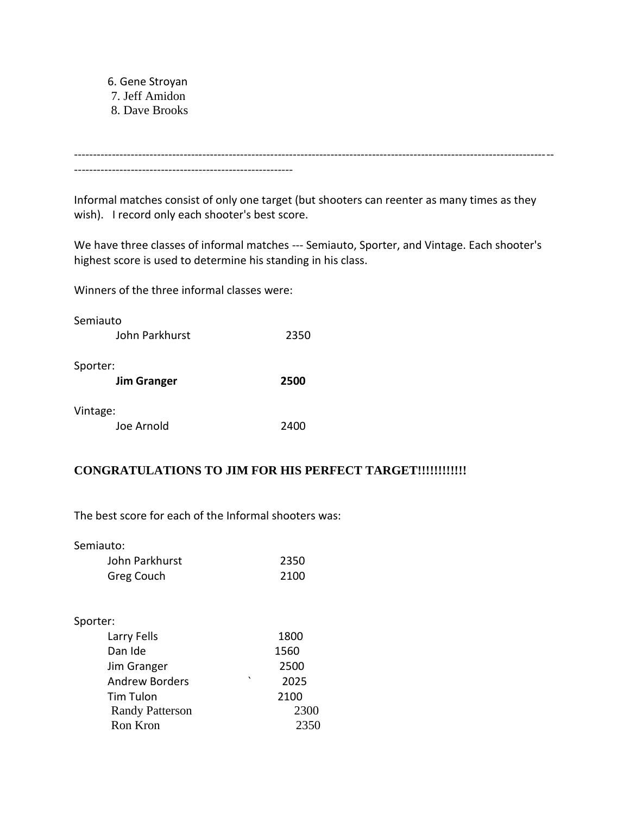6. Gene Stroyan 7. Jeff Amidon 8. Dave Brooks

------------------------------------------------------------------------------------------------------------------------------- ----------------------------------------------------------

Informal matches consist of only one target (but shooters can reenter as many times as they wish). I record only each shooter's best score.

We have three classes of informal matches --- Semiauto, Sporter, and Vintage. Each shooter's highest score is used to determine his standing in his class.

Winners of the three informal classes were:

| Semiauto                       |      |
|--------------------------------|------|
| John Parkhurst                 | 2350 |
| Sporter:<br><b>Jim Granger</b> | 2500 |
| Vintage:                       |      |
| Joe Arnold                     | 2400 |

## **CONGRATULATIONS TO JIM FOR HIS PERFECT TARGET!!!!!!!!!!!!**

The best score for each of the Informal shooters was:

Semiauto:

| John Parkhurst | 2350 |
|----------------|------|
| Greg Couch     | 2100 |

## Sporter:

| Larry Fells            | 1800            |
|------------------------|-----------------|
| Dan Ide                | 1560            |
| Jim Granger            | 2500            |
| <b>Andrew Borders</b>  | $\cdot$<br>2025 |
| Tim Tulon              | 2100            |
| <b>Randy Patterson</b> | 2300            |
| Ron Kron               | 2350            |